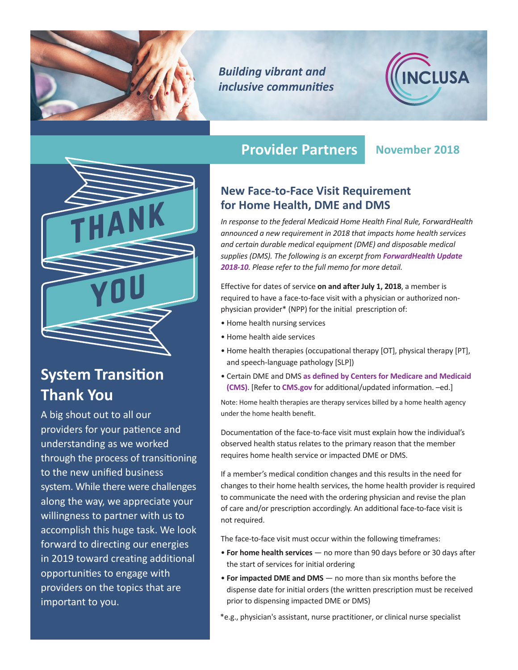

*Building vibrant and inclusive communities*





# **System Transition Thank You**

A big shout out to all our providers for your patience and understanding as we worked through the process of transitioning to the new unified business system. While there were challenges along the way, we appreciate your willingness to partner with us to accomplish this huge task. We look forward to directing our energies in 2019 toward creating additional opportunities to engage with providers on the topics that are important to you.

# **Provider Partners November 2018**

### **New Face-to-Face Visit Requirement for Home Health, DME and DMS**

*In response to the federal Medicaid Home Health Final Rule, ForwardHealth announced a new requirement in 2018 that impacts home health services and certain durable medical equipment (DME) and disposable medical supplies (DMS). The following is an excerpt from [ForwardHealth Update](http://www.forwardhealth.wi.gov/kw/pdf/2018-10.pdf)  [2018-10](http://www.forwardhealth.wi.gov/kw/pdf/2018-10.pdf). Please refer to the full memo for more detail.* 

Effective for dates of service **on and after July 1, 2018**, a member is required to have a face-to-face visit with a physician or authorized nonphysician provider\* (NPP) for the initial prescription of:

- Home health nursing services
- Home health aide services
- Home health therapies (occupational therapy [OT], physical therapy [PT], and speech-language pathology [SLP])
- Certain DME and DMS **[as defined by Centers for Medicare and Medicaid](https://www.cms.gov/Research-Statistics-Data-and-Systems/Monitoring-Programs/Medicare-FFS-Compliance-Programs/Medical-Review/Downloads/DME_List_of_Specified_Covered_Items_updated_March_26_2015.pdf) [\(CMS\)](https://www.cms.gov/Research-Statistics-Data-and-Systems/Monitoring-Programs/Medicare-FFS-Compliance-Programs/Medical-Review/Downloads/DME_List_of_Specified_Covered_Items_updated_March_26_2015.pdf)**. [Refer to **[CMS.gov](https://www.cms.gov/Research-Statistics-Data-and-Systems/Monitoring-Programs/Medicare-FFS-Compliance-Programs/Medical-Review/FacetoFaceEncounterRequirementforCertainDurableMedicalEquipment.html)** for additional/updated information. –ed.]

Note: Home health therapies are therapy services billed by a home health agency under the home health benefit.

Documentation of the face-to-face visit must explain how the individual's observed health status relates to the primary reason that the member requires home health service or impacted DME or DMS.

If a member's medical condition changes and this results in the need for changes to their home health services, the home health provider is required to communicate the need with the ordering physician and revise the plan of care and/or prescription accordingly. An additional face-to-face visit is not required.

The face-to-face visit must occur within the following timeframes:

- **For home health services** no more than 90 days before or 30 days after the start of services for initial ordering
- **For impacted DME and DMS** no more than six months before the dispense date for initial orders (the written prescription must be received prior to dispensing impacted DME or DMS)
- \*e.g., physician's assistant, nurse practitioner, or clinical nurse specialist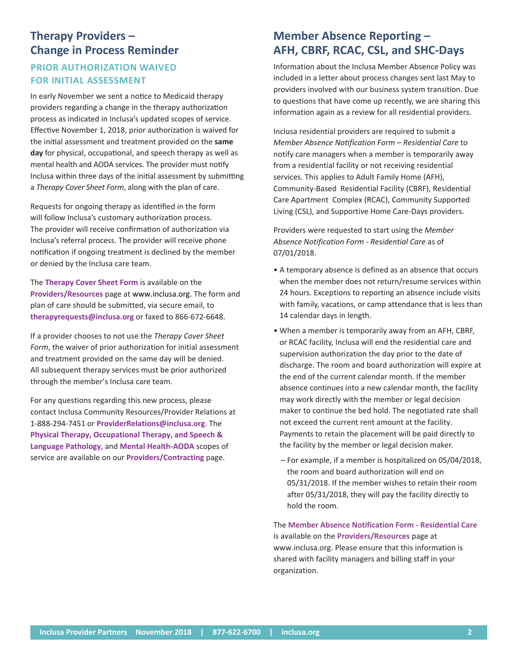## **Therapy Providers – Change in Process Reminder**

### **PRIOR AUTHORIZATION WAIVED FOR INITIAL ASSESSMENT**

In early November we sent a notice to Medicaid therapy providers regarding a change in the therapy authorization process as indicated in Inclusa's updated scopes of service. Effective November 1, 2018, prior authorization is waived for the initial assessment and treatment provided on the **same day** for physical, occupational, and speech therapy as well as mental health and AODA services. The provider must notify Inclusa within three days of the initial assessment by submitting a *Therapy Cover Sheet Form*, along with the plan of care.

Requests for ongoing therapy as identified in the form will follow Inclusa's customary authorization process. The provider will receive confirmation of authorization via Inclusa's referral process. The provider will receive phone notification if ongoing treatment is declined by the member or denied by the Inclusa care team.

The **[Therapy Cover Sheet Form](http://www.inclusa.org/wp-content/uploads/Therapy-Cover-Sheet-Form.docx)** is available on the **[Providers/Resources](http://www.inclusa.org/providers/resources/)** page at [www.inclusa.org](http://www.inclusa.org). The form and plan of care should be submitted, via secure email, to **[therapyrequests@inclusa.org](mailto:therapyrequests%40inclusa.org?subject=)** or faxed to 866-672-6648.

If a provider chooses to not use the *Therapy Cover Sheet Form*, the waiver of prior authorization for initial assessment and treatment provided on the same day will be denied. All subsequent therapy services must be prior authorized through the member's Inclusa care team.

For any questions regarding this new process, please contact Inclusa Community Resources/Provider Relations at 1-888-294-7451 or **[ProviderRelations@inclusa.org](mailto:ProviderRelations%40inclusa.org?subject=)**. The **[Physical Therapy, Occupational Therapy, and Speech &](http://www.inclusa.org/wp-content/uploads/Scope-of-Service-PT-OT-SLP.pdf) [Language Pathology](http://www.inclusa.org/wp-content/uploads/Scope-of-Service-PT-OT-SLP.pdf)**, and **[Mental Health-AODA](http://www.inclusa.org/wp-content/uploads/Scope-of-Service-Mental-Health-AODA.pdf)** scopes of service are available on our **[Providers/Contracting](http://www.inclusa.org/providers/contracting/)** page.

## **Member Absence Reporting – AFH, CBRF, RCAC, CSL, and SHC-Days**

Information about the Inclusa Member Absence Policy was included in a letter about process changes sent last May to providers involved with our business system transition. Due to questions that have come up recently, we are sharing this information again as a review for all residential providers.

Inclusa residential providers are required to submit a *Member Absence Notification Form – Residential Care* to notify care managers when a member is temporarily away from a residential facility or not receiving residential services. This applies to Adult Family Home (AFH), Community-Based Residential Facility (CBRF), Residential Care Apartment Complex (RCAC), Community Supported Living (CSL), and Supportive Home Care-Days providers.

Providers were requested to start using the *Member Absence Notification Form - Residential Care* as of 07/01/2018.

- A temporary absence is defined as an absence that occurs when the member does not return/resume services within 24 hours. Exceptions to reporting an absence include visits with family, vacations, or camp attendance that is less than 14 calendar days in length.
- When a member is temporarily away from an AFH, CBRF, or RCAC facility, Inclusa will end the residential care and supervision authorization the day prior to the date of discharge. The room and board authorization will expire at the end of the current calendar month. If the member absence continues into a new calendar month, the facility may work directly with the member or legal decision maker to continue the bed hold. The negotiated rate shall not exceed the current rent amount at the facility. Payments to retain the placement will be paid directly to the facility by the member or legal decision maker.
- For example, if a member is hospitalized on 05/04/2018, the room and board authorization will end on 05/31/2018. If the member wishes to retain their room after 05/31/2018, they will pay the facility directly to hold the room.

The **[Member Absence Notification Form - Residential Care](https://www.cognitoforms.com/Inclusa1/MemberAbsenceNotificationFormResidentialCare)** is available on the **[Providers/Resources](http://www.inclusa.org/providers/resources/)** page at [www.inclusa.org](http://www.inclusa.org). Please ensure that this information is shared with facility managers and billing staff in your organization.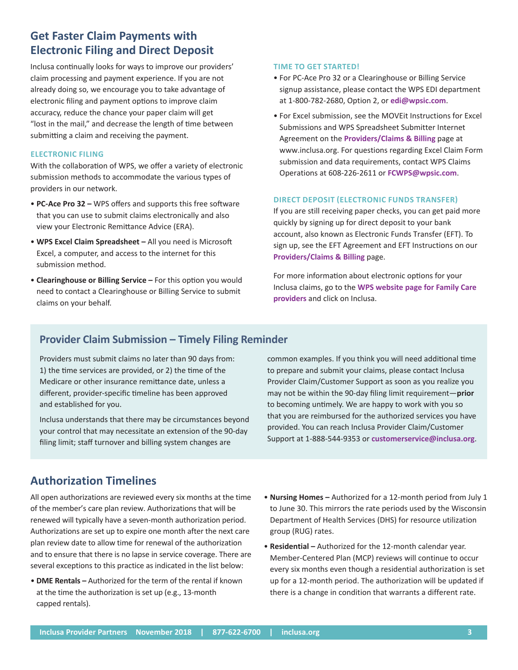### **Get Faster Claim Payments with Electronic Filing and Direct Deposit**

Inclusa continually looks for ways to improve our providers' claim processing and payment experience. If you are not already doing so, we encourage you to take advantage of electronic filing and payment options to improve claim accuracy, reduce the chance your paper claim will get "lost in the mail," and decrease the length of time between submitting a claim and receiving the payment.

#### **ELECTRONIC FILING**

With the collaboration of WPS, we offer a variety of electronic submission methods to accommodate the various types of providers in our network.

- **PC-Ace Pro 32 –** WPS offers and supports this free software that you can use to submit claims electronically and also view your Electronic Remittance Advice (ERA).
- **WPS Excel Claim Spreadsheet –** All you need is Microsoft Excel, a computer, and access to the internet for this submission method.
- **Clearinghouse or Billing Service –** For this option you would need to contact a Clearinghouse or Billing Service to submit claims on your behalf.

#### **TIME TO GET STARTED!**

- For PC-Ace Pro 32 or a Clearinghouse or Billing Service signup assistance, please contact the WPS EDI department at 1-800-782-2680, Option 2, or **[edi@wpsic.com](mailto:edi%40wpsic.com?subject=)**.
- For Excel submission, see the MOVEit Instructions for Excel Submissions and WPS Spreadsheet Submitter Internet Agreement on the **[Providers/Claims & Billing](http://www.inclusa.org/providers/claims-billing/)** page at www.inclusa.org. For questions regarding Excel Claim Form submission and data requirements, contact WPS Claims Operations at 608-226-2611 or **[FCWPS@wpsic.com](mailto:FCWPS%40wpsic.com?subject=)**.

#### **DIRECT DEPOSIT (ELECTRONIC FUNDS TRANSFER)**

If you are still receiving paper checks, you can get paid more quickly by signing up for direct deposit to your bank account, also known as Electronic Funds Transfer (EFT). To sign up, see the EFT Agreement and EFT Instructions on our **[Providers/Claims & Billing](http://www.inclusa.org/providers/claims-billing/)** page.

For more information ab[out electronic options for your](http://www.wpshealth.com/resources/provider-resources/family-care-groups.shtml)  Inclusa claims, go to the **WPS website page for Family Care [providers](http://www.wpshealth.com/resources/provider-resources/family-care-groups.shtml)** and click on Inclusa.

#### **Provider Claim Submission – Timely Filing Reminder**

Providers must submit claims no later than 90 days from: 1) the time services are provided, or 2) the time of the Medicare or other insurance remittance date, unless a different, provider-specific timeline has been approved and established for you.

Inclusa understands that there may be circumstances beyond your control that may necessitate an extension of the 90-day filing limit; staff turnover and billing system changes are

common examples. If you think you will need additional time to prepare and submit your claims, please contact Inclusa Provider Claim/Customer Support as soon as you realize you may not be within the 90-day filing limit requirement—**prior** to becoming untimely. We are happy to work with you so that you are reimbursed for the authorized services you have provided. You can reach Inclusa Provider Claim/Customer Support at 1-888-544-9353 or **[customerservice@inclusa.org](mailto:customerservice%40inclusa.org?subject=)**.

### **Authorization Timelines**

All open authorizations are reviewed every six months at the time of the member's care plan review. Authorizations that will be renewed will typically have a seven-month authorization period. Authorizations are set up to expire one month after the next care plan review date to allow time for renewal of the authorization and to ensure that there is no lapse in service coverage. There are several exceptions to this practice as indicated in the list below:

- **DME Rentals –** Authorized for the term of the rental if known at the time the authorization is set up (e.g., 13-month capped rentals).
- **Nursing Homes –** Authorized for a 12-month period from July 1 to June 30. This mirrors the rate periods used by the Wisconsin Department of Health Services (DHS) for resource utilization group (RUG) rates.
- **Residential –** Authorized for the 12-month calendar year. Member-Centered Plan (MCP) reviews will continue to occur every six months even though a residential authorization is set up for a 12-month period. The authorization will be updated if there is a change in condition that warrants a different rate.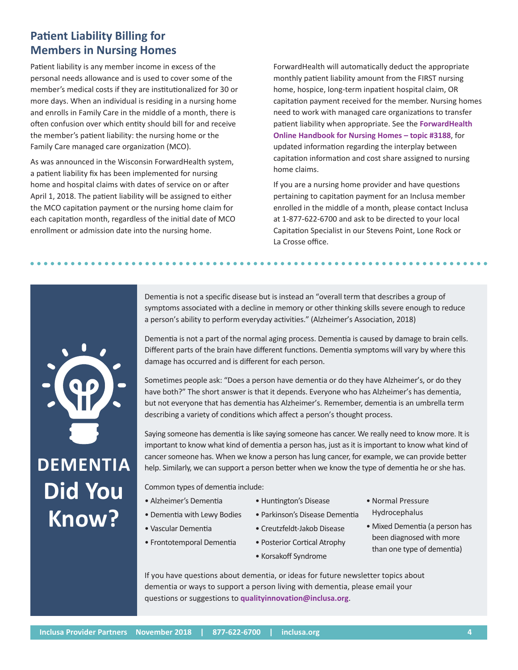# **Patient Liability Billing for Members in Nursing Homes**

Patient liability is any member income in excess of the personal needs allowance and is used to cover some of the member's medical costs if they are institutionalized for 30 or more days. When an individual is residing in a nursing home and enrolls in Family Care in the middle of a month, there is often confusion over which entity should bill for and receive the member's patient liability: the nursing home or the Family Care managed care organization (MCO).

As was announced in the Wisconsin ForwardHealth system, a patient liability fix has been implemented for nursing home and hospital claims with dates of service on or after April 1, 2018. The patient liability will be assigned to either the MCO capitation payment or the nursing home claim for each capitation month, regardless of the initial date of MCO enrollment or admission date into the nursing home.

ForwardHealth will automatically deduct the appropriate monthly patient liability amount from the FIRST nursing home, hospice, long-term inpatient hospital claim, OR capitation payment received for the member. Nursing homes need to work with managed care organizations to transfer patient liability when appropriate. See the **[ForwardHealth](https://www.forwardhealth.wi.gov/WIPortal/Subsystem/KW/Print.aspx?ia=1&p=1&sa=40&s=5&c=31&nt=Patient+Liability+for+Nursing+Home+Residents)  [Online Handbook for Nursing Homes – topic #3188](https://www.forwardhealth.wi.gov/WIPortal/Subsystem/KW/Print.aspx?ia=1&p=1&sa=40&s=5&c=31&nt=Patient+Liability+for+Nursing+Home+Residents)**, for updated information regarding the interplay between capitation information and cost share assigned to nursing home claims.

If you are a nursing home provider and have questions pertaining to capitation payment for an Inclusa member enrolled in the middle of a month, please contact Inclusa at 1-877-622-6700 and ask to be directed to your local Capitation Specialist in our Stevens Point, Lone Rock or La Crosse office.

Dementia is not a specific disease but is instead an "overall term that describes a group of symptoms associated with a decline in memory or other thinking skills severe enough to reduce a person's ability to perform everyday activities." (Alzheimer's Association, 2018)

Dementia is not a part of the normal aging process. Dementia is caused by damage to brain cells. Different parts of the brain have different functions. Dementia symptoms will vary by where this damage has occurred and is different for each person.

Sometimes people ask: "Does a person have dementia or do they have Alzheimer's, or do they have both?" The short answer is that it depends. Everyone who has Alzheimer's has dementia, but not everyone that has dementia has Alzheimer's. Remember, dementia is an umbrella term describing a variety of conditions which affect a person's thought process.

Saying someone has dementia is like saying someone has cancer. We really need to know more. It is important to know what kind of dementia a person has, just as it is important to know what kind of cancer someone has. When we know a person has lung cancer, for example, we can provide better help. Similarly, we can support a person better when we know the type of dementia he or she has.

Common types of dementia include:

- Alzheimer's Dementia
- Dementia with Lewy Bodies
- Vascular Dementia
- Parkinson's Disease Dementia • Creutzfeldt-Jakob Disease
- Frontotemporal Dementia • Posterior Cortical Atrophy
	- Korsakoff Syndrome

• Huntington's Disease

- Normal Pressure Hydrocephalus
- Mixed Dementia (a person has been diagnosed with more than one type of dementia)

If you have questions about dementia, or ideas for future newsletter topics about dementia or ways to support a person living with dementia, please email your questions or suggestions to **[qualityinnovation@inclusa.org](mailto:qualityinnovation%40inclusa.org?subject=)**.